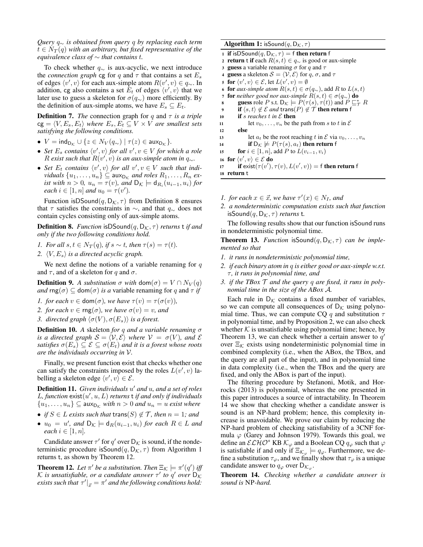*Query* q<sup>∼</sup> *is obtained from query* q *by replacing each term*  $t \in N_T(q)$  *with an arbitrary, but fixed representative of the equivalence class of* ∼ *that contains* t*.*

To check whether  $q_{\sim}$  is aux-acyclic, we next introduce the *connection graph* cg for q and  $\tau$  that contains a set  $E_s$ of edges  $\langle v', v \rangle$  for each aux-simple atom  $R(v', v) \in q_{\sim}$ . In addition, cg also contains a set  $\hat{E}_t$  of edges  $\langle v', v \rangle$  that we later use to guess a skeleton for  $\sigma(q_{\sim})$  more efficiently. By the definition of aux-simple atoms, we have  $E_s \subseteq E_t$ .

**Definition 7.** *The* connection graph for q and  $\tau$  *is a triple*  $cg = \langle V, E_s, E_t \rangle$  *where*  $E_s, E_t \subseteq V \times V$  *are smallest sets satisfying the following conditions.*

- $V = \text{ind}_{D_{\mathcal{K}}} \cup \{z \in N_V(q_{\sim}) \mid \tau(z) \in \text{aux}_{D_{\mathcal{K}}}\}.$
- Set  $E_s$  contains  $\langle v', v \rangle$  for all  $v', v \in V$  for which a role R exist such that  $R(v', v)$  is an aux-simple atom in  $q_{\sim}$ .
- Set  $E_t$  contains  $\langle v', v \rangle$  for all  $v', v \in V$  such that indi*viduals*  $\{u_1, \ldots, u_n\} \subseteq \text{aux}_{\mathsf{D}_{\mathcal{K}}}$  *and roles*  $R_1, \ldots, R_n$  *exist with*  $n > 0$ ,  $u_n = \tau(v)$ , and  $D_{\mathcal{K}} \models d_{R_i}(u_{i-1}, u_i)$  for *each*  $i \in [1, n]$  *and*  $u_0 = \tau(v')$ *.*

Function isDSound( $q, D_{\mathcal{K}}, \tau$ ) from Definition 8 ensures that  $\tau$  satisfies the constraints in  $\sim$ , and that  $q_{\sim}$  does not contain cycles consisting only of aux-simple atoms.

**Definition 8.** *Function* isDSound(q,  $D_K$ ,  $\tau$ ) *returns* t *if and only if the two following conditions hold.*

- *1. For all*  $s, t \in N_T(q)$ , if  $s \sim t$ , then  $\tau(s) = \tau(t)$ .
- *2.*  $\langle V, E_s \rangle$  *is a directed acyclic graph.*

We next define the notions of a variable renaming for  $q$ and  $\tau$ , and of a skeleton for q and  $\sigma$ .

**Definition 9.** A substitution  $\sigma$  with dom( $\sigma$ ) =  $V \cap N_V(q)$ *and*  $\text{rng}(\sigma) \subseteq \text{dom}(\sigma)$  *is a* variable renaming for q and  $\tau$  *if* 

- *1. for each*  $v \in \text{dom}(\sigma)$ *, we have*  $\tau(v) = \tau(\sigma(v))$ *,*
- *2. for each*  $v \in \text{rng}(\sigma)$ *, we have*  $\sigma(v) = v$ *, and*
- *3. directed graph*  $\langle \sigma(V), \sigma(E_s) \rangle$  *is a forest.*

Definition 10. *A* skeleton *for* q *and a variable renaming* σ *is a directed graph*  $S = \langle V, \mathcal{E} \rangle$  *where*  $V = \sigma(V)$ *, and*  $\mathcal{E}$ *satisfies*  $\sigma(E_s) \subseteq \mathcal{E} \subseteq \sigma(E_t)$  *and it is a forest whose roots are the individuals occurring in* V*.*

Finally, we present function exist that checks whether one can satisfy the constraints imposed by the roles  $L(v', v)$  labelling a skeleton edge  $\langle v', v \rangle \in \mathcal{E}$ .

Definition 11. Given individuals u' and u, and a set of roles  $L$ , function  $ext(u', u, L)$  *returns*  $t$  *if and only if individuals*  $\{u_1, \ldots, u_n\} \subseteq \text{aux}_{\mathsf{D}_{\kappa}} \text{ with } n > 0 \text{ and } u_n = u \text{ exist where}$ 

- *if*  $S \in L$  *exists such that* trans $(S) \notin T$ *, then*  $n = 1$ *; and*
- $u_0 = u'$ , and  $D_K \models d_R(u_{i-1}, u_i)$  *for each*  $R \in L$  *and each*  $i \in [1, n]$ *.*

Candidate answer  $\tau'$  for  $q'$  over  $D_{\mathcal{K}}$  is sound, if the nondeterministic procedure is Sound $(q, D_{\mathcal{K}}, \tau)$  from Algorithm 1 returns t, as shown by Theorem 12.

**Theorem 12.** Let  $\pi'$  be a substitution. Then  $\Xi_{\mathcal{K}} \models \pi'(q')$  iff K is unsatisfiable, or a candidate answer  $\tau'$  to  $q'$  over  $\overline{\mathsf{D}_{K}}$ *exists such that*  $\tau'|_{\vec{x}} = \pi'$  *and the following conditions hold:* 

#### **Algorithm 1:** isSound(q,  $D_{K}, \tau$ )

1 if isDSound $(q, D_{K}, \tau) = f$  then return f 2 **return t if** each  $R(s, t) \in q_{\sim}$  is good or aux-simple

- 3 guess a variable renaming  $\sigma$  for q and  $\tau$
- 4 guess a skeleton  $S = \langle V, \mathcal{E} \rangle$  for q,  $\sigma$ , and  $\tau$
- 5 for  $\langle v', v \rangle \in \mathcal{E}$ , let  $L(v', v) = \emptyset$
- 

for *aux-simple atom*  $R(s,t) \in \sigma(q_\sim)$ , add R to  $L(s,t)$ 

7 **for** *neither good nor aux-simple*  $R(s,t) \in \sigma(q_\sim)$  **do** 

- s guess role P s.t.  $D_{\mathcal{K}} \models P(\tau(s), \tau(t))$  and  $P \sqsubseteq_{\mathcal{T}}^* R$
- **9** if  $\langle s, t \rangle \notin \mathcal{E}$  and trans $(P) \notin \mathcal{T}$  then return f
- 10 if *s* reaches  $t$  in  $\mathcal E$  then

```
11 let v_0, \ldots, v_n be the path from s to t in \mathcal E
```
<sup>12</sup> else 13 let  $a_t$  be the root reaching t in E via  $v_0, \ldots, v_n$ 

$$
\text{if } D_{\mathcal{K}} \not\models P(\tau(s), a_t) \text{ then return } f
$$

15 for 
$$
i \in [1, n]
$$
, add P to  $L(v_{i-1}, v_i)$ 

16 for  $\langle v', v \rangle \in \mathcal{E}$  do

- 17 if  $\text{exist}(\tau(v'), \tau(v), L(v', v)) = \text{f}$  then return f <sup>18</sup> return t
- *1. for each*  $x \in \mathcal{X}$ *, we have*  $\tau'(x) \in N_I$ *, and*
- *2. a nondeterministic computation exists such that function*  $\mathsf{isSound}(q, \mathsf{D}_{\mathcal{K}}, \tau)$  *returns* t.

The following results show that our function isSound runs in nondeterministic polynomial time.

**Theorem 13.** *Function* is Sound $(q, D_K, \tau)$  *can be implemented so that*

- *1. it runs in nondeterministic polynomial time,*
- *2. if each binary atom in* q *is either good or aux-simple w.r.t.* τ *, it runs in polynomial time, and*
- *3. if the TBox* T *and the query* q *are fixed, it runs in polynomial time in the size of the ABox* A*.*

Each rule in  $D_K$  contains a fixed number of variables, so we can compute all consequences of  $D_K$  using polynomial time. Thus, we can compute CQ q and substitution  $\tau$ in polynomial time, and by Proposition 2, we can also check whether  $K$  is unsatisfiable using polynomial time; hence, by Theorem 13, we can check whether a certain answer to  $q'$ over  $\Xi_{\mathcal{K}}$  exists using nondeterministic polynomial time in combined complexity (i.e., when the ABox, the TBox, and the query are all part of the input), and in polynomial time in data complexity (i.e., when the TBox and the query are fixed, and only the ABox is part of the input).

The filtering procedure by Stefanoni, Motik, and Horrocks (2013) is polynomial, whereas the one presented in this paper introduces a source of intractability. In Theorem 14 we show that checking whether a candidate answer is sound is an NP-hard problem; hence, this complexity increase is unavoidable. We prove our claim by reducing the NP-hard problem of checking satisfiability of a 3CNF formula  $\varphi$  (Garey and Johnson 1979). Towards this goal, we define an  $\mathcal{ELHO}^s$  KB  $\mathcal{K}_{\varphi}$  and a Boolean CQ  $q_{\varphi}$  such that  $\varphi$ is satisfiable if and only if  $\Xi_{\mathcal{K}_{\varphi}} \models q_{\varphi}$ . Furthermore, we define a substitution  $\tau_{\varphi}$ , and we finally show that  $\tau_{\varphi}$  is a unique candidate answer to  $q_{\varphi}$  over  $D_{\mathcal{K}_{\varphi}}$ .

Theorem 14. *Checking whether a candidate answer is sound is* NP*-hard.*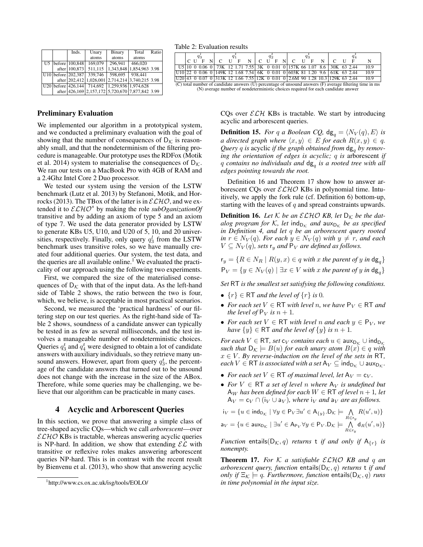|  | Inds.                      | Unary                                            | Binary                   | Total   | Ratio |
|--|----------------------------|--------------------------------------------------|--------------------------|---------|-------|
|  |                            | atoms                                            | atoms                    | atoms   |       |
|  | U5   before   100,848      | 169,079                                          | 296,941                  | 466,020 |       |
|  | after   100,873            | 511,115                                          | 1,343,848 1,854,963 3.98 |         |       |
|  | $ U10 $ before $ 202,387 $ | 339,746                                          | 598.695                  | 938,441 |       |
|  |                            | after 202,412 1,026,001 2,714,214 3,740,215 3.98 |                          |         |       |
|  |                            | U20 before 426,144 714,692 1,259,936 1,974,628   |                          |         |       |
|  |                            | after 426,169 2,157,172 5,720,670 7,877,842 3.99 |                          |         |       |

Table 2: Evaluation results

|                                                                                                          | $q_{3}$ |  |  |  |                                                                                        |  |              |  |                          |  |  |   |                 |    |  |   |  |  |  |      |
|----------------------------------------------------------------------------------------------------------|---------|--|--|--|----------------------------------------------------------------------------------------|--|--------------|--|--------------------------|--|--|---|-----------------|----|--|---|--|--|--|------|
|                                                                                                          | C U     |  |  |  |                                                                                        |  | $\mathbf{F}$ |  | $N \mid C \mid U \mid F$ |  |  | N | $\sim$ C $\sim$ | II |  | N |  |  |  | N    |
|                                                                                                          |         |  |  |  | U5 10 0 0.06 0 73K 12 1.71 7.55 3K 0 0.01 0 157K 66 1.07 8.6 30K 63 2.44               |  |              |  |                          |  |  |   |                 |    |  |   |  |  |  | 10.9 |
|                                                                                                          |         |  |  |  | U <sub>10</sub> 22 0 0.06 0 149K 12 1.68 7.54 6K 0 0.01 0 603K 81 1.20 9.6 61K 63 2.44 |  |              |  |                          |  |  |   |                 |    |  |   |  |  |  | 10.9 |
|                                                                                                          |         |  |  |  | U20 43 0 0.07 0 313K 12 1.66 7.55 12K 0 0.01 0 2.6M 90 1.28 10.3 129K 63 2.44          |  |              |  |                          |  |  |   |                 |    |  |   |  |  |  | 10.9 |
| (C) total number of candidate answers (U) percentage of unsound answers (F) average filtering time in ms |         |  |  |  |                                                                                        |  |              |  |                          |  |  |   |                 |    |  |   |  |  |  |      |
| (N) average number of nondeterministic choices required for each candidate answer                        |         |  |  |  |                                                                                        |  |              |  |                          |  |  |   |                 |    |  |   |  |  |  |      |

CQs over  $\mathcal{ELH}$  KBs is tractable. We start by introducing acyclic and arborescent queries.

**Definition 15.** *For* q a Boolean CQ,  $dg_q = \langle N_V(q), E \rangle$  *is a directed graph where*  $\langle x, y \rangle \in E$  *for each*  $R(x, y) \in q$ . Query *q* is acyclic *if the graph obtained from*  $dg_a$  *by removing the orientation of edges is acyclic;* q *is* arborescent *if* q *contains no individuals and* dg<sup>q</sup> *is a rooted tree with all edges pointing towards the root.*

Definition 16 and Theorem 17 show how to answer arborescent CQs over  $\mathcal{ELHO}$  KBs in polynomial time. Intuitively, we apply the fork rule (cf. Definition 6) bottom-up, starting with the leaves of  $q$  and spread constraints upwards.

**Definition 16.** Let  $K$  be an  $\mathcal{ELHO}$  KB, let  $D_K$  be the dat*alog program for* K, let ind<sub>D<sub>K</sub> and  $\mathsf{aux}_{\mathsf{D}_{\mathsf{K}}}$  be as specified</sub> *in Definition 4, and let* q *be an arborescent query rooted in*  $r \in N_V(q)$ *. For each*  $y \in N_V(q)$  *with*  $y \neq r$ *, and each*  $V \subseteq N_V(q)$ , sets  $r_y$  and  $P_V$  are defined as follows.

 $r_y = \{R \in N_R \mid R(y, x) \in q \text{ with } x \text{ the parent of } y \text{ in } \text{dg}_a\}$  $P_V = \{y \in N_V(q) \mid \exists x \in V \text{ with } x \text{ the parent of } y \text{ in } \text{dg}_a\}$ 

*Set* RT *is the smallest set satisfying the following conditions.*

- $\{r\} \in \mathsf{RT}$  *and the level of*  $\{r\}$  *is* 0*.*
- For each set  $V \in RT$  with level n, we have  $P_V \in RT$  and *the level of*  $P_V$  *is*  $n + 1$ *.*
- *For each set*  $V \in RT$  *with level n* and each  $y \in P_V$ *, we have*  $\{y\} \in \mathsf{RT}$  *and the level of*  $\{y\}$  *is*  $n + 1$ *.*

*For each*  $V \in RT$ *, set*  $c_V$  *contains each*  $u \in \text{aux}_{D_K} \cup \text{ind}_{D_K}$ *such that*  $D_K \models B(u)$  *for each unary atom*  $B(x) \in q$  *with*  $x \in V$ *. By reverse-induction on the level of the sets in* RT, *each*  $V \in RT$  *is associated with a set*  $A_V \subseteq \text{ind}_{D_K} \cup \text{aux}_{D_K}$ .

- *For each set*  $V \in RT$  *of maximal level, let*  $A_V = c_V$ *.*
- For  $V \in RT$  *a set of level n where*  $A_V$  *is undefined but* A<sub>W</sub> has been defined for each  $W \in \mathsf{RT}$  of level  $n + 1$ , let  $A_V = c_V \cap (i_V \cup a_V)$ , where  $i_V$  *and*  $a_V$  *are as follows.*

$$
\begin{aligned} \mathbf{i}_V &= \{ u \in \mathsf{ind}_{\mathsf{D}_\mathcal{K}} \mid \forall y \in \mathsf{P}_V \exists u' \in \mathsf{A}_{\{y\}}.\mathsf{D}_\mathcal{K} \models \bigwedge_{R \in \mathsf{r}_y} R(u',u) \} \\ \mathsf{a}_V &= \{ u \in \mathsf{aux}_{\mathsf{D}_\mathcal{K}} \mid \exists u' \in \mathsf{A}_{\mathsf{P}_V} \forall y \in \mathsf{P}_V.\mathsf{D}_\mathcal{K} \models \bigwedge_{R \in \mathsf{r}_y}^{} \mathsf{d}_R(u',u) \} \end{aligned}
$$

*Function* entails( $D_K$ , *q*) *returns* **t** *if and only if*  $A_{\{r\}}$  *is nonempty.*

Theorem 17. *For* K *a satisfiable* ELHO *KB and* q *an arborescent query, function* entails( $D_{\mathcal{K}}$ , *q*) *returns* t *if and only if*  $\Xi_{\mathcal{K}} \models q$ *. Furthermore, function* entails( $D_{\mathcal{K}}, q$ ) *runs in time polynomial in the input size.*

# Preliminary Evaluation

We implemented our algorithm in a prototypical system, and we conducted a preliminary evaluation with the goal of showing that the number of consequences of  $D_K$  is reasonably small, and that the nondeterminism of the filtering procedure is manageable. Our prototype uses the RDFox (Motik et al. 2014) system to materialise the consequences of  $D_K$ . We ran our tests on a MacBook Pro with 4GB of RAM and a 2.4Ghz Intel Core 2 Duo processor.

We tested our system using the version of the LSTW benchmark (Lutz et al. 2013) by Stefanoni, Motik, and Horrocks (2013). The TBox of the latter is in  $\mathcal{ELHO}$ , and we extended it to  $\mathcal{ELHO}^s$  by making the role *subOganizationOf* transitive and by adding an axiom of type 5 and an axiom of type 7. We used the data generator provided by LSTW to generate KBs U5, U10, and U20 of 5, 10, and 20 universities, respectively. Finally, only query  $q_3^l$  from the LSTW benchmark uses transitive roles, so we have manually created four additional queries. Our system, the test data, and the queries are all available online.<sup>1</sup> We evaluated the practicality of our approach using the following two experiments.

First, we compared the size of the materialised consequences of  $D_K$  with that of the input data. As the left-hand side of Table 2 shows, the ratio between the two is four, which, we believe, is acceptable in most practical scenarios.

Second, we measured the 'practical hardness' of our filtering step on our test queries. As the right-hand side of Table 2 shows, soundness of a candidate answer can typically be tested in as few as several milliseconds, and the test involves a manageable number of nondeterministic choices. Queries  $q_3^t$  and  $q_4^t$  were designed to obtain a lot of candidate answers with auxiliary individuals, so they retrieve many unsound answers. However, apart from query  $q_3^t$ , the percentage of the candidate answers that turned out to be unsound does not change with the increase in the size of the ABox. Therefore, while some queries may be challenging, we believe that our algorithm can be practicable in many cases.

#### 4 Acyclic and Arborescent Queries

In this section, we prove that answering a simple class of tree-shaped acyclic CQs—which we call *arborescent*—over  $\mathcal{ELHO}$  KBs is tractable, whereas answering acyclic queries is NP-hard. In addition, we show that extending  $\mathcal{EL}$  with transitive or reflexive roles makes answering arborescent queries NP-hard. This is in contrast with the recent result by Bienvenu et al. (2013), who show that answering acyclic

<sup>1</sup> http://www.cs.ox.ac.uk/isg/tools/EOLO/